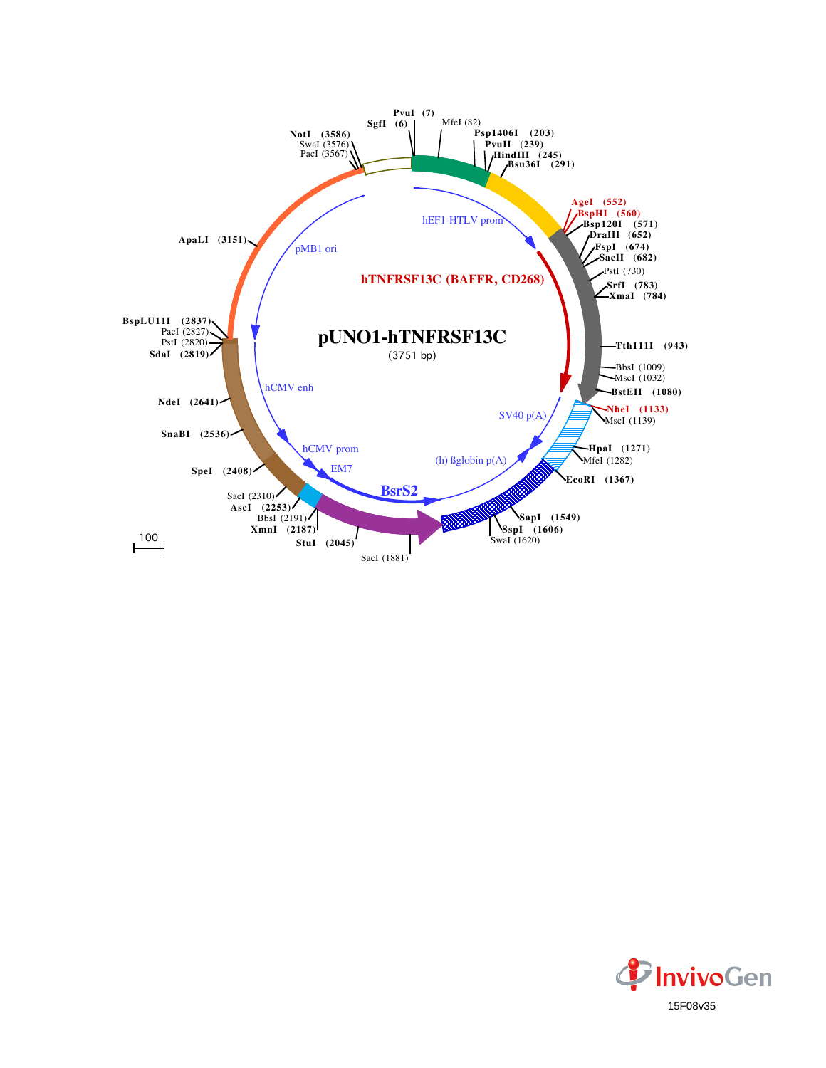

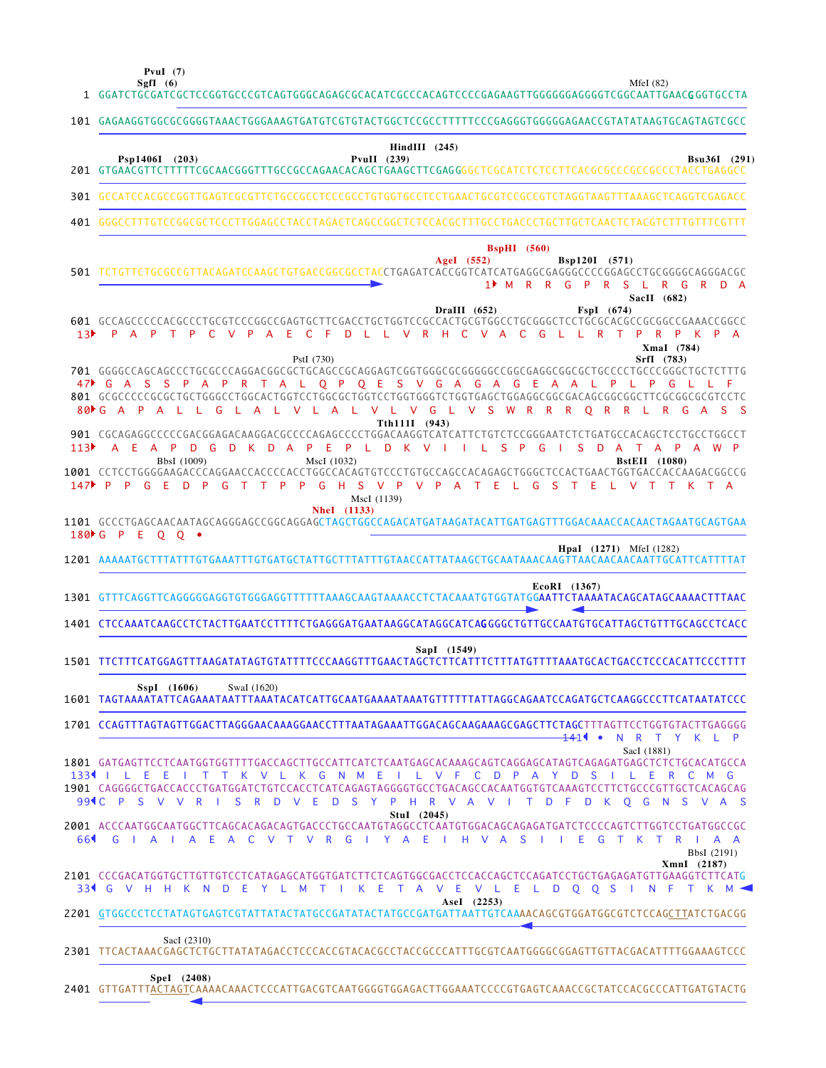**PvuI (7)**

MfeI (82)

|                        | MfeI $(82)$<br>SgfI $(6)$<br>1 GGATCTGCGATCGCTCCGGTGCCCGTCAGTGGGCAGAGCGCACATCGCCCACAGTCCCCGAGAAGTTGGGGGGAGGGTCGGCAATTGAAC <b>G</b> GGTGCCTA                                                                                                                                                                                                                                                                                                                             |
|------------------------|-------------------------------------------------------------------------------------------------------------------------------------------------------------------------------------------------------------------------------------------------------------------------------------------------------------------------------------------------------------------------------------------------------------------------------------------------------------------------|
|                        | 101 GAGAAGGTGGCGCGGGGTAAACTGGGAAAGTGATGTCGTGTACTGGCTCCGCCTTTTTCCCGAGGGTGGGGAGAACCGTATATAAGTGCAGTAGTCGCC                                                                                                                                                                                                                                                                                                                                                                 |
|                        | $HindIII$ (245)<br>Psp1406I (203)<br>PvuII $(239)$<br><b>Bsu36I</b> (291)                                                                                                                                                                                                                                                                                                                                                                                               |
|                        | 301 GCCATCCACGCCGGTTGAGTCGCGTTCTGCCGCCTCCCGCCTGTGGTGCCTCCTGAACTGCGTCCGCCGTCTAGGTAAGTTTAAAGCTCAGGTCGAGACC                                                                                                                                                                                                                                                                                                                                                                |
| 401                    |                                                                                                                                                                                                                                                                                                                                                                                                                                                                         |
|                        | $BspHI$ (560)<br>Bsp120I (571)<br>AgeI $(552)$<br>501 TCTGTTCTGCGCCGTTACAGATCCAAGCTGTGACCGGCGCCTACCTGAGATCACCGGTCATCATGAGGCGAGGCCCCCGGAGCCTGCGGGGCAGGGACGC<br>R R G P R S<br>$1$ M<br>L R<br>R D A<br>G<br>SacII (682)<br>DraIII $(652)$<br>FspI (674)                                                                                                                                                                                                                  |
| 13 <sup>b</sup>        | 601 GCCAGCCCCCACGCCCTGCGTCCCGGCCGAGTGCTTCGACCTGCTGGTCCGCCACTGCGTGGCCTGCGGGCTCCTGCGCACGCCGCGGCCGAAACCGGCC<br>D L L V R H C V A<br>L L R T<br>P<br>A P T P<br>$\mathbf{C}$<br>$V$ $P$<br>E.<br>- C<br>$-F$<br><sub>C</sub><br>G<br>P<br>$\mathsf{A}$<br>P<br>K P A<br>XmaI (784)                                                                                                                                                                                          |
| $80 \text{ F} \cdot G$ | SrfI (783)<br>PstI (730)<br>701 GGGGCCAGCAGCCCTGCGCCCAGGACGGCGCTGCAGCCGCAGGAGTCGGTGGGCGCGGGGGCCGGCGAGGCGGCGCTGCCCCTGCCCGGGCTGCTCTTTTG<br>47 G A S S P A P R T A L Q P Q E S V G A G A G E A A L P L P G<br>801 GCGCCCCCGCGCTGCTGGGCCTGGCACTGGTCCTGGCGCTGGTCCTGGTGGGTCTGGTGAGCTGAGGCGGCGACAGCGGCGGCTTCGCGGCGTCCTC<br>$\mathsf{P}$<br>V L V G L V S W R R R O R<br><b>A</b><br>A<br>$\mathbf{I}$<br>- 11<br>G<br>V.<br>$\mathbf{L}$<br>A L<br>R L<br>R<br>G A<br>S S<br>A |
| 113                    | Tth111I (943)<br>A E A P<br>D A<br>P E<br>PLDKVIILS<br>$\mathsf{P}$<br>G<br><sub>S</sub><br><b>D</b><br>D<br>G<br>D<br>K<br>$\Box$<br>$\overline{A}$<br>TAPAWP<br>BbsI (1009)<br>MscI (1032)<br>BstEII (1080)                                                                                                                                                                                                                                                           |
| $147$ P                | G H S<br>P<br>$\mathsf{P}$<br>V P V P A<br>$\mathsf{P}$<br>G<br>F.<br>D<br>- P<br>G<br>$\top$<br>$\top$<br>T<br>- E<br>LGS<br>TE<br>L V T<br>MscI (1139)<br><b>NheI</b> (1133)                                                                                                                                                                                                                                                                                          |
|                        | 180 G P E Q Q .                                                                                                                                                                                                                                                                                                                                                                                                                                                         |
|                        | <b>HpaI</b> (1271) MfeI (1282)                                                                                                                                                                                                                                                                                                                                                                                                                                          |
|                        | EcoRI (1367)<br>1301 GTTTCAGGTTCAGGGGGAGGTGTGGGAGGTTTTTTAAAGCAAGTAAAACCTCTACAAATGTGGTATGGAATTCTAAAATACAGCATAGCAAAACTTTAAC                                                                                                                                                                                                                                                                                                                                               |
|                        | 1401 CTCCAAATCAAGCCTCTACTTGAATCCTTTTCTGAGGGATGAATAAGGCATAGGCATCAGGGGCTGTTGCCAATGTGCATTAGCTGTTTGCAGCCTCACC                                                                                                                                                                                                                                                                                                                                                               |
|                        | SapI (1549)<br>1501 TTCTTTCATGGAGTTTAAGATATAGTGTATTTTCCCAAGGTTTGAACTAGCTCTTCATTTCTTTATGTTTTAAATGCACTGACCTCCCACATTCCCTTTT                                                                                                                                                                                                                                                                                                                                                |
|                        | SspI (1606)<br>SwaI (1620)                                                                                                                                                                                                                                                                                                                                                                                                                                              |
|                        | 1701 CCAGTTTAGTAGTTGGACTTAGGGAACAAAGGAACCTTTAATAGAAATTGGACAGCAAGAAAGCGAGCTTCTAGCTTTAGTTCCTGGTGTACTTGAGGGG<br>1411 •<br>N R T Y K L P<br>SacI (1881)                                                                                                                                                                                                                                                                                                                     |
|                        | 1801 GATGAGTTCCTCAATGGTGGTTTTGACCAGCTTGCCATTCATCTCAATGAGCACAAAGCAGTCAGGAGCATAGTCAGAGATGAGCTCTCTGCACATGCCA<br>1334   LEE   TTK VLK GNM E   LVF CD PA Y D S   LER<br>C M G<br>1901 CAGGGGCTGACCACCCTGATGGATCTGTCCACCTCATCAGAGTAGGGGTGCCTGACAGCCACAATGGTGTCAAAGTCCTTCTGCCCGTTGCTCACAGCAG                                                                                                                                                                                   |
| 661                    | 99 C P S V V R I S R D V E D S Y P H R V A V I T D F D K Q G N S V A S<br>StuI (2045)<br>2001 ACCCAATGGCAATGGCTTCAGCACAGACAGTGACCCTGCCAATGTAGGCCTCAATGTGGACAGCAGAGATGATCTCCCCAGTCTTGGTCCTGATGGCCGC<br>GIAIA E A C V T V R GI Y A E I H V A S I I E G T K T R I A A<br>BbsI (2191)                                                                                                                                                                                       |
|                        | XmnI (2187)<br>2101 CCCGACATGGTGCTTGTTGTCCTCATAGAGCATGGTGATCTTCTCAGTGGCGACCTCCACCAGCTCCAGATCCTGCTGAGAGATGTTGAAGGTCTTCATG<br>334 G V H H K N D E Y L M T I K E T A V E V L E L D O O S I N F T K M <                                                                                                                                                                                                                                                                     |
|                        | AseI (2253)<br>2201 GTGGCCCTCCTATAGTGAGTCGTATTATACTATGCCGATATACTATGCCGATGATTAATTGTCAAAACAGCGTGGATGGCGTCTCCAGCTTATCTGACGG                                                                                                                                                                                                                                                                                                                                                |
|                        | SacI (2310)<br>2301 TTCACTAAACGAGCTCTGCTTATATAGACCTCCCACCGTACACGCCTACCGCCCATTTGCGTCAATGGGGCGGAGTTGTTACGACATTTTGGAAAGTCCC                                                                                                                                                                                                                                                                                                                                                |
|                        |                                                                                                                                                                                                                                                                                                                                                                                                                                                                         |

GTTGATTTACTAGTCAAAACAAACTCCCATTGACGTCAATGGGGTGGAGACTTGGAAATCCCCGTGAGTCAAACCGCTATCCACGCCCATTGATGTACTG **SpeI (2408)** 2401